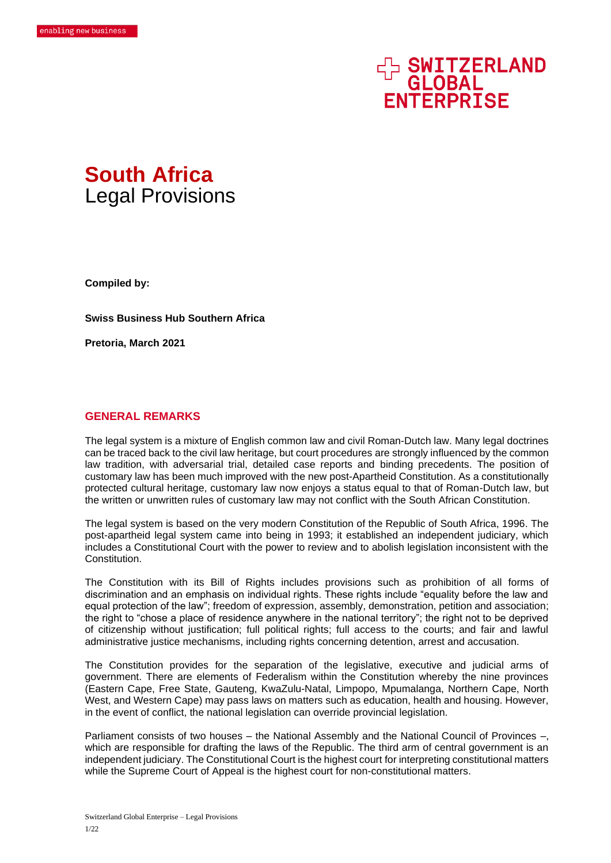# **EN SWITZERLAND<br>GLOBAL<br>ENTERPRISE**



**Compiled by:**

**Swiss Business Hub Southern Africa**

**Pretoria, March 2021**

# **GENERAL REMARKS**

The legal system is a mixture of English common law and civil Roman-Dutch law. Many legal doctrines can be traced back to the civil law heritage, but court procedures are strongly influenced by the common law tradition, with adversarial trial, detailed case reports and binding precedents. The position of customary law has been much improved with the new post-Apartheid Constitution. As a constitutionally protected cultural heritage, customary law now enjoys a status equal to that of Roman-Dutch law, but the written or unwritten rules of customary law may not conflict with the South African Constitution.

The legal system is based on the very modern Constitution of the Republic of South Africa, 1996. The post-apartheid legal system came into being in 1993; it established an independent judiciary, which includes a Constitutional Court with the power to review and to abolish legislation inconsistent with the **Constitution** 

The Constitution with its Bill of Rights includes provisions such as prohibition of all forms of discrimination and an emphasis on individual rights. These rights include "equality before the law and equal protection of the law"; freedom of expression, assembly, demonstration, petition and association; the right to "chose a place of residence anywhere in the national territory"; the right not to be deprived of citizenship without justification; full political rights; full access to the courts; and fair and lawful administrative justice mechanisms, including rights concerning detention, arrest and accusation.

The Constitution provides for the separation of the legislative, executive and judicial arms of government. There are elements of Federalism within the Constitution whereby the nine provinces (Eastern Cape, Free State, Gauteng, KwaZulu-Natal, Limpopo, Mpumalanga, Northern Cape, North West, and Western Cape) may pass laws on matters such as education, health and housing. However, in the event of conflict, the national legislation can override provincial legislation.

Parliament consists of two houses – the National Assembly and the National Council of Provinces –, which are responsible for drafting the laws of the Republic. The third arm of central government is an independent judiciary. The Constitutional Court is the highest court for interpreting constitutional matters while the Supreme Court of Appeal is the highest court for non-constitutional matters.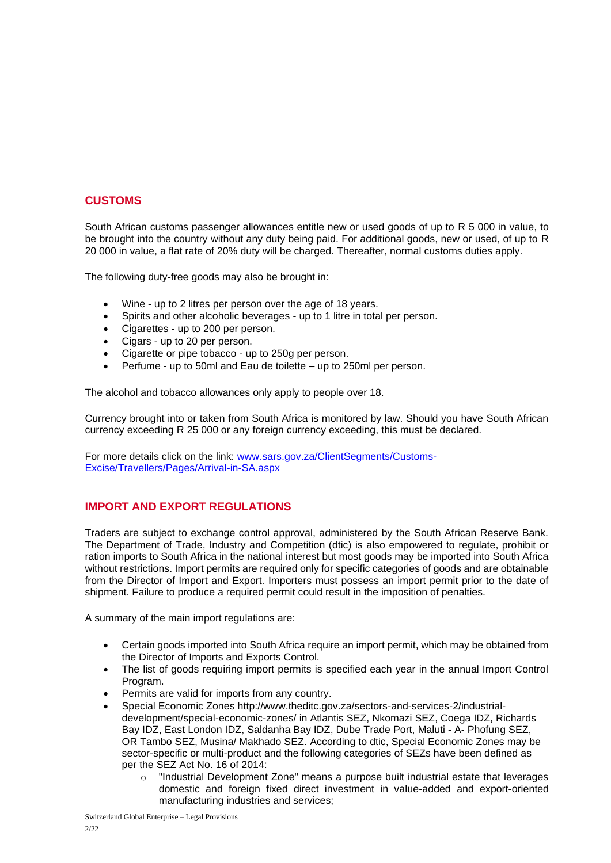# **CUSTOMS**

South African customs passenger allowances entitle new or used goods of up to R 5 000 in value, to be brought into the country without any duty being paid. For additional goods, new or used, of up to R 20 000 in value, a flat rate of 20% duty will be charged. Thereafter, normal customs duties apply.

The following duty-free goods may also be brought in:

- Wine up to 2 litres per person over the age of 18 years.
- Spirits and other alcoholic beverages up to 1 litre in total per person.
- Cigarettes up to 200 per person.
- Cigars up to 20 per person.
- Cigarette or pipe tobacco up to 250g per person.
- Perfume up to 50ml and Eau de toilette up to 250ml per person.

The alcohol and tobacco allowances only apply to people over 18.

Currency brought into or taken from South Africa is monitored by law. Should you have South African currency exceeding R 25 000 or any foreign currency exceeding, this must be declared.

For more details click on the link: www.sars.gov.za/ClientSegments/Customs-Excise/Travellers/Pages/Arrival-in-SA.aspx

# **IMPORT AND EXPORT REGULATIONS**

Traders are subject to exchange control approval, administered by the South African Reserve Bank. The Department of Trade, Industry and Competition (dtic) is also empowered to regulate, prohibit or ration imports to South Africa in the national interest but most goods may be imported into South Africa without restrictions. Import permits are required only for specific categories of goods and are obtainable from the Director of Import and Export. Importers must possess an import permit prior to the date of shipment. Failure to produce a required permit could result in the imposition of penalties.

A summary of the main import regulations are:

- Certain goods imported into South Africa require an import permit, which may be obtained from the Director of Imports and Exports Control.
- The list of goods requiring import permits is specified each year in the annual Import Control Program.
- Permits are valid for imports from any country.
- Special Economic Zones http://www.theditc.gov.za/sectors-and-services-2/industrialdevelopment/special-economic-zones/ in Atlantis SEZ, Nkomazi SEZ, Coega IDZ, Richards Bay IDZ, East London IDZ, Saldanha Bay IDZ, Dube Trade Port, Maluti - A- Phofung SEZ, OR Tambo SEZ, Musina/ Makhado SEZ. According to dtic, Special Economic Zones may be sector-specific or multi-product and the following categories of SEZs have been defined as per the SEZ Act No. 16 of 2014:
	- o "Industrial Development Zone" means a purpose built industrial estate that leverages domestic and foreign fixed direct investment in value-added and export-oriented manufacturing industries and services;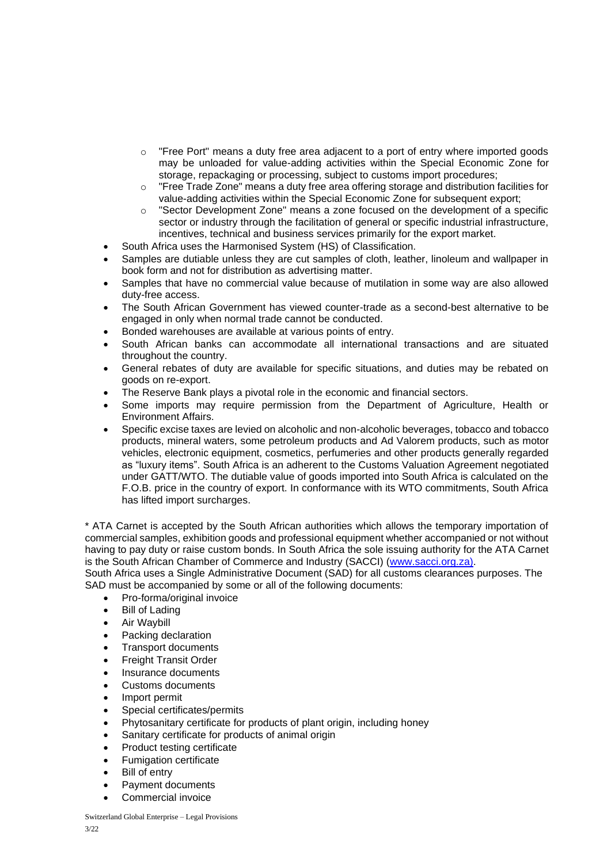- o "Free Port" means a duty free area adjacent to a port of entry where imported goods may be unloaded for value-adding activities within the Special Economic Zone for storage, repackaging or processing, subject to customs import procedures;
- o "Free Trade Zone" means a duty free area offering storage and distribution facilities for value-adding activities within the Special Economic Zone for subsequent export;
- $\circ$  "Sector Development Zone" means a zone focused on the development of a specific sector or industry through the facilitation of general or specific industrial infrastructure, incentives, technical and business services primarily for the export market.
- South Africa uses the Harmonised System (HS) of Classification.
- Samples are dutiable unless they are cut samples of cloth, leather, linoleum and wallpaper in book form and not for distribution as advertising matter.
- Samples that have no commercial value because of mutilation in some way are also allowed duty-free access.
- The South African Government has viewed counter-trade as a second-best alternative to be engaged in only when normal trade cannot be conducted.
- Bonded warehouses are available at various points of entry.
- South African banks can accommodate all international transactions and are situated throughout the country.
- General rebates of duty are available for specific situations, and duties may be rebated on goods on re-export.
- The Reserve Bank plays a pivotal role in the economic and financial sectors.
- Some imports may require permission from the Department of Agriculture, Health or Environment Affairs.
- Specific excise taxes are levied on alcoholic and non-alcoholic beverages, tobacco and tobacco products, mineral waters, some petroleum products and Ad Valorem products, such as motor vehicles, electronic equipment, cosmetics, perfumeries and other products generally regarded as "luxury items". South Africa is an adherent to the Customs Valuation Agreement negotiated under GATT/WTO. The dutiable value of goods imported into South Africa is calculated on the F.O.B. price in the country of export. In conformance with its WTO commitments, South Africa has lifted import surcharges.

\* ATA Carnet is accepted by the South African authorities which allows the temporary importation of commercial samples, exhibition goods and professional equipment whether accompanied or not without having to pay duty or raise custom bonds. In South Africa the sole issuing authority for the ATA Carnet is the South African Chamber of Commerce and Industry (SACCI) [\(www.sacci.org.za\)](http://www.sacci.org.za/).

South Africa uses a Single Administrative Document (SAD) for all customs clearances purposes. The SAD must be accompanied by some or all of the following documents:

- Pro-forma/original invoice
- **Bill of Lading**
- Air Waybill
- Packing declaration
- Transport documents
- Freight Transit Order
- Insurance documents
- Customs documents
- Import permit
- Special certificates/permits
- Phytosanitary certificate for products of plant origin, including honey
- Sanitary certificate for products of animal origin
- Product testing certificate
- Fumigation certificate
- **Bill of entry**
- Payment documents
- Commercial invoice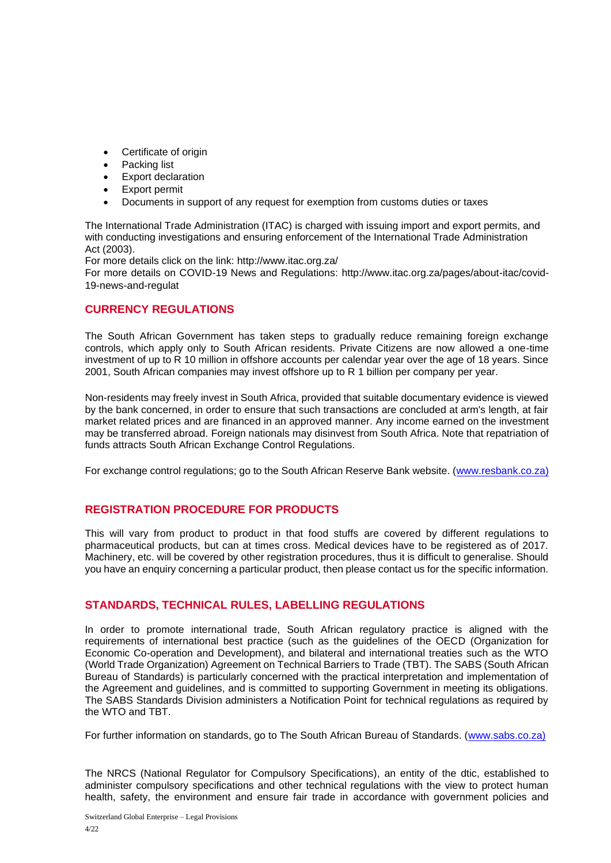- Certificate of origin
- Packing list
- **Export declaration**
- Export permit
- Documents in support of any request for exemption from customs duties or taxes

The International Trade Administration (ITAC) is charged with issuing import and export permits, and with conducting investigations and ensuring enforcement of the International Trade Administration Act (2003).

For more details click on the link: http://www.itac.org.za/

For more details on COVID-19 News and Regulations: http://www.itac.org.za/pages/about-itac/covid-19-news-and-regulat

# **CURRENCY REGULATIONS**

The South African Government has taken steps to gradually reduce remaining foreign exchange controls, which apply only to South African residents. Private Citizens are now allowed a one-time investment of up to R 10 million in offshore accounts per calendar year over the age of 18 years. Since 2001, South African companies may invest offshore up to R 1 billion per company per year.

Non-residents may freely invest in South Africa, provided that suitable documentary evidence is viewed by the bank concerned, in order to ensure that such transactions are concluded at arm's length, at fair market related prices and are financed in an approved manner. Any income earned on the investment may be transferred abroad. Foreign nationals may disinvest from South Africa. Note that repatriation of funds attracts South African Exchange Control Regulations.

For exchange control regulations; go to the South African Reserve Bank website. [\(www.resbank.co.za\)](http://www.resbank.co.za/)

# **REGISTRATION PROCEDURE FOR PRODUCTS**

This will vary from product to product in that food stuffs are covered by different regulations to pharmaceutical products, but can at times cross. Medical devices have to be registered as of 2017. Machinery, etc. will be covered by other registration procedures, thus it is difficult to generalise. Should you have an enquiry concerning a particular product, then please contact us for the specific information.

# **STANDARDS, TECHNICAL RULES, LABELLING REGULATIONS**

In order to promote international trade, South African regulatory practice is aligned with the requirements of international best practice (such as the guidelines of the OECD (Organization for Economic Co-operation and Development), and bilateral and international treaties such as the WTO (World Trade Organization) Agreement on Technical Barriers to Trade (TBT). The SABS (South African Bureau of Standards) is particularly concerned with the practical interpretation and implementation of the Agreement and guidelines, and is committed to supporting Government in meeting its obligations. The SABS Standards Division administers a Notification Point for technical regulations as required by the WTO and TBT.

For further information on standards, go to The South African Bureau of Standards. [\(www.sabs.co.za\)](http://www.sabs.co.za/)

The NRCS (National Regulator for Compulsory Specifications), an entity of the dtic, established to administer compulsory specifications and other technical regulations with the view to protect human health, safety, the environment and ensure fair trade in accordance with government policies and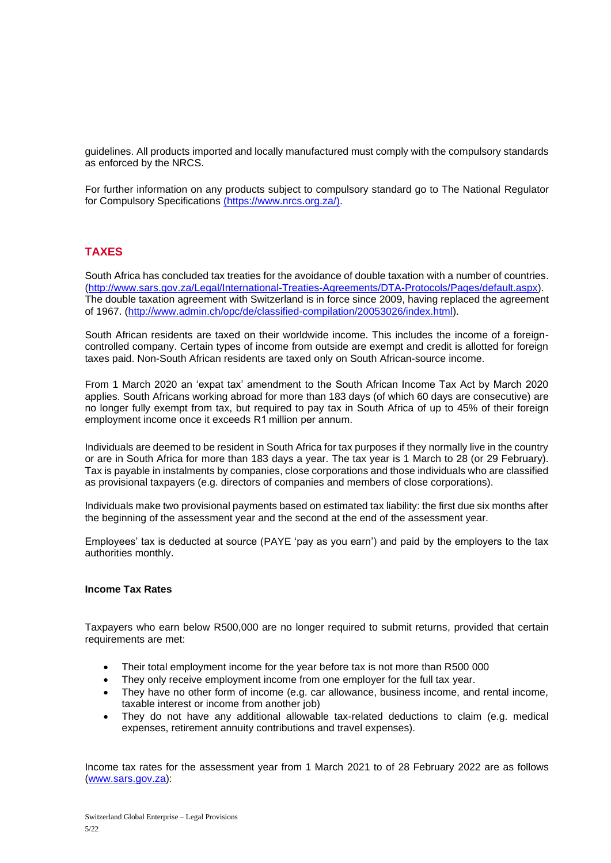guidelines. All products imported and locally manufactured must comply with the compulsory standards as enforced by the NRCS.

For further information on any products subject to compulsory standard go to The National Regulator for Compulsory Specifications [\(https://www.nrcs.org.za/\).](file:///C:/Users/simonemalzcoetzer/Downloads/(https:/www.nrcs.org.za/))

# **TAXES**

South Africa has concluded tax treaties for the avoidance of double taxation with a number of countries. [\(http://www.sars.gov.za/Legal/International-Treaties-Agreements/DTA-Protocols/Pages/default.aspx\)](http://www.sars.gov.za/Legal/International-Treaties-Agreements/DTA-Protocols/Pages/default.aspx). The double taxation agreement with Switzerland is in force since 2009, having replaced the agreement of 1967. [\(http://www.admin.ch/opc/de/classified-compilation/20053026/index.html\)](http://www.admin.ch/opc/de/classified-compilation/20053026/index.html).

South African residents are taxed on their worldwide income. This includes the income of a foreigncontrolled company. Certain types of income from outside are exempt and credit is allotted for foreign taxes paid. Non-South African residents are taxed only on South African-source income.

From 1 March 2020 an 'expat tax' amendment to the South African Income Tax Act by March 2020 applies. South Africans working abroad for more than 183 days (of which 60 days are consecutive) are no longer fully exempt from tax, but required to pay tax in South Africa of up to 45% of their foreign employment income once it exceeds R1 million per annum.

Individuals are deemed to be resident in South Africa for tax purposes if they normally live in the country or are in South Africa for more than 183 days a year. The tax year is 1 March to 28 (or 29 February). Tax is payable in instalments by companies, close corporations and those individuals who are classified as provisional taxpayers (e.g. directors of companies and members of close corporations).

Individuals make two provisional payments based on estimated tax liability: the first due six months after the beginning of the assessment year and the second at the end of the assessment year.

Employees' tax is deducted at source (PAYE 'pay as you earn') and paid by the employers to the tax authorities monthly.

#### **Income Tax Rates**

Taxpayers who earn below R500,000 are no longer required to submit returns, provided that certain requirements are met:

- Their total employment income for the year before tax is not more than R500 000
- They only receive employment income from one employer for the full tax year.
- They have no other form of income (e.g. car allowance, business income, and rental income, taxable interest or income from another job)
- They do not have any additional allowable tax-related deductions to claim (e.g. medical expenses, retirement annuity contributions and travel expenses).

Income tax rates for the assessment year from 1 March 2021 to of 28 February 2022 are as follows [\(www.sars.gov.za\)](http://www.sars.gov.za/):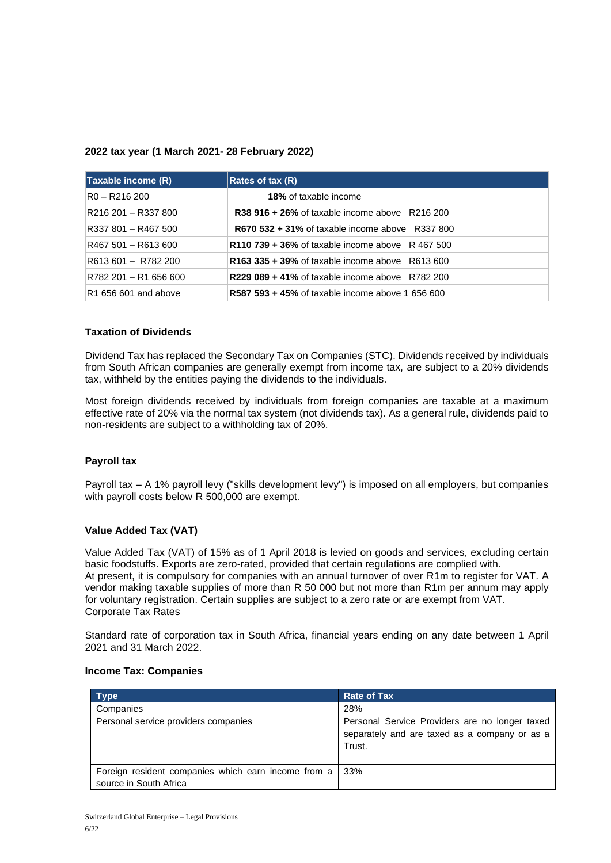### **2022 tax year (1 March 2021- 28 February 2022)**

| Taxable income (R)    | Rates of tax (R)                                        |
|-----------------------|---------------------------------------------------------|
| R0 – R216 200         | <b>18%</b> of taxable income                            |
| R216 201 - R337 800   | <b>R38 916 + 26%</b> of taxable income above R216 200   |
| R337 801 - R467 500   | <b>R670 532 + 31% of taxable income above</b> R337 800  |
| R467 501 – R613 600   | <b>R110 739 + 36% of taxable income above</b> R 467 500 |
| R613 601 - R782 200   | <b>R163 335 + 39% of taxable income above R613 600</b>  |
| R782 201 - R1 656 600 | <b>R229 089 + 41% of taxable income above R782 200</b>  |
| R1 656 601 and above  | <b>R587 593 + 45% of taxable income above 1 656 600</b> |

## **Taxation of Dividends**

Dividend Tax has replaced the Secondary Tax on Companies (STC). Dividends received by individuals from South African companies are generally exempt from income tax, are subject to a 20% dividends tax, withheld by the entities paying the dividends to the individuals.

Most foreign dividends received by individuals from foreign companies are taxable at a maximum effective rate of 20% via the normal tax system (not dividends tax). As a general rule, dividends paid to non-residents are subject to a withholding tax of 20%.

# **Payroll tax**

Payroll tax – A 1% payroll levy ("skills development levy") is imposed on all employers, but companies with payroll costs below R 500,000 are exempt.

#### **Value Added Tax (VAT)**

Value Added Tax (VAT) of 15% as of 1 April 2018 is levied on goods and services, excluding certain basic foodstuffs. Exports are zero-rated, provided that certain regulations are complied with. At present, it is compulsory for companies with an annual turnover of over R1m to register for VAT. A vendor making taxable supplies of more than R 50 000 but not more than R1m per annum may apply for voluntary registration. Certain supplies are subject to a zero rate or are exempt from VAT. Corporate Tax Rates

Standard rate of corporation tax in South Africa, financial years ending on any date between 1 April 2021 and 31 March 2022.

#### **Income Tax: Companies**

| <b>Type</b>                                                                   | <b>Rate of Tax</b>                                                                                        |
|-------------------------------------------------------------------------------|-----------------------------------------------------------------------------------------------------------|
| Companies                                                                     | 28%                                                                                                       |
| Personal service providers companies                                          | Personal Service Providers are no longer taxed<br>separately and are taxed as a company or as a<br>Trust. |
| Foreign resident companies which earn income from a<br>source in South Africa | 33%                                                                                                       |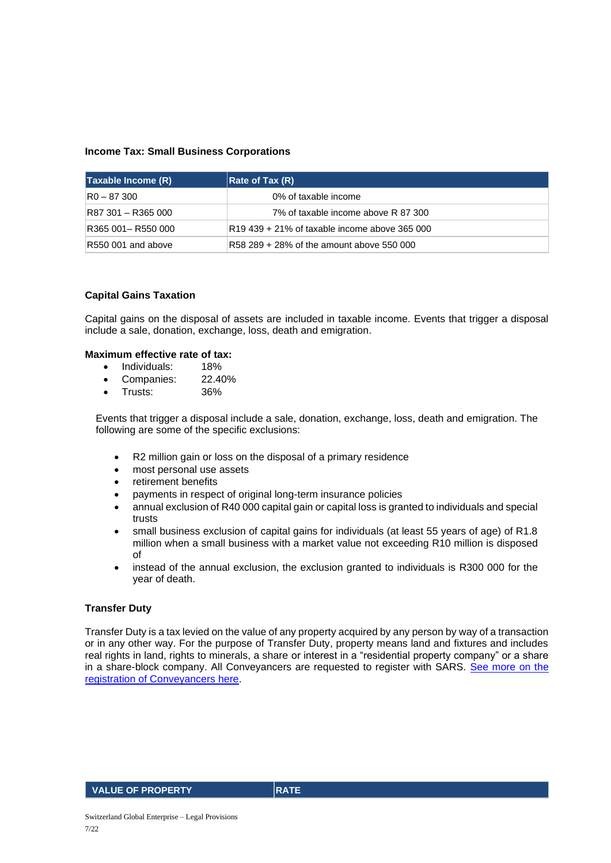## **Income Tax: Small Business Corporations**

| Taxable Income (R) | $\vert$ Rate of Tax $(R)$                     |
|--------------------|-----------------------------------------------|
| $R0 - 87300$       | 0% of taxable income                          |
| R87 301 - R365 000 | 7% of taxable income above R 87 300           |
| R365 001-R550 000  | R19 439 + 21% of taxable income above 365 000 |
| R550 001 and above | R58 289 + 28% of the amount above 550 000     |

#### **Capital Gains Taxation**

Capital gains on the disposal of assets are included in taxable income. Events that trigger a disposal include a sale, donation, exchange, loss, death and emigration.

# **Maximum effective rate of tax:**

- Individuals: 18%
- Companies: 22.40%
- Trusts: 36%

Events that trigger a disposal include a sale, donation, exchange, loss, death and emigration. The following are some of the specific exclusions:

- R2 million gain or loss on the disposal of a primary residence
- most personal use assets
- retirement benefits
- payments in respect of original long-term insurance policies
- annual exclusion of R40 000 capital gain or capital loss is granted to individuals and special trusts
- small business exclusion of capital gains for individuals (at least 55 years of age) of R1.8 million when a small business with a market value not exceeding R10 million is disposed of
- instead of the annual exclusion, the exclusion granted to individuals is R300 000 for the year of death.

#### **Transfer Duty**

Transfer Duty is a tax levied on the value of any property acquired by any person by way of a transaction or in any other way. For the purpose of Transfer Duty, property means land and fixtures and includes real rights in land, rights to minerals, a share or interest in a "residential property company" or a share in a share-block company. All Conveyancers are requested to register with SARS. See more on the [registration of Conveyancers here.](http://www.sars.gov.za/TaxTypes/TransferDuty/Pages/Conveyancer-registration.aspx)

VALUE OF PROPERTY RATE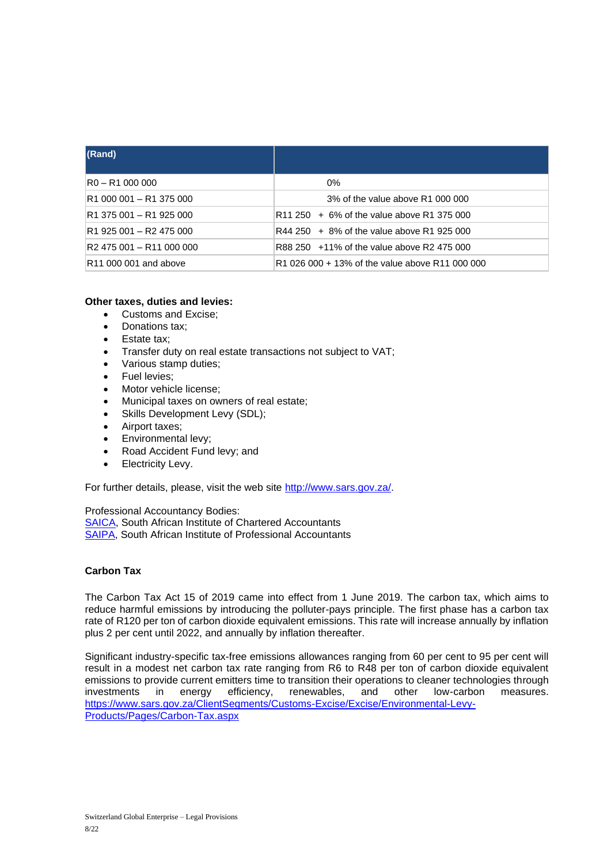| (Rand)                                           |                                                 |
|--------------------------------------------------|-------------------------------------------------|
| $R0 - R1$ 000 000                                | 0%                                              |
| R1 000 001 - R1 375 000                          | 3% of the value above R1 000 000                |
| R <sub>1</sub> 375 001 - R <sub>1</sub> 925 000  | $R11$ 250 + 6% of the value above R1 375 000    |
| R1 925 001 - R2 475 000                          | $R44$ 250 $+8\%$ of the value above R1 925 000  |
| R <sub>2</sub> 475 001 - R <sub>11</sub> 000 000 | R88 250 +11% of the value above R2 475 000      |
| R <sub>11</sub> 000 001 and above                | R1 026 000 + 13% of the value above R11 000 000 |

## **Other taxes, duties and levies:**

- Customs and Excise;
- Donations tax;
- Estate tax:
- Transfer duty on real estate transactions not subject to VAT;
- Various stamp duties;
- Fuel levies;
- Motor vehicle license:
- Municipal taxes on owners of real estate;
- Skills Development Levy (SDL);
- Airport taxes;
- Environmental levy;
- Road Accident Fund levy; and
- Electricity Levy.

For further details, please, visit the web site [http://www.sars.gov.za/.](http://www.sars.gov.za/)

Professional Accountancy Bodies:

[SAICA,](https://www.saica.co.za/#_blank) South African Institute of Chartered Accountants [SAIPA,](http://www.saipa.co.za/#_blank) South African Institute of Professional Accountants

## **Carbon Tax**

The Carbon Tax Act 15 of 2019 came into effect from 1 June 2019. The carbon tax, which aims to reduce harmful emissions by introducing the polluter-pays principle. The first phase has a carbon tax rate of R120 per ton of carbon dioxide equivalent emissions. This rate will increase annually by inflation plus 2 per cent until 2022, and annually by inflation thereafter.

Significant industry-specific tax-free emissions allowances ranging from 60 per cent to 95 per cent will result in a modest net carbon tax rate ranging from R6 to R48 per ton of carbon dioxide equivalent emissions to provide current emitters time to transition their operations to cleaner technologies through<br>investments in energy efficiency, renewables, and other low-carbon measures. investments in [https://www.sars.gov.za/ClientSegments/Customs-Excise/Excise/Environmental-Levy-](https://www.sars.gov.za/ClientSegments/Customs-Excise/Excise/Environmental-Levy-Products/Pages/Carbon-Tax.aspx)[Products/Pages/Carbon-Tax.aspx](https://www.sars.gov.za/ClientSegments/Customs-Excise/Excise/Environmental-Levy-Products/Pages/Carbon-Tax.aspx)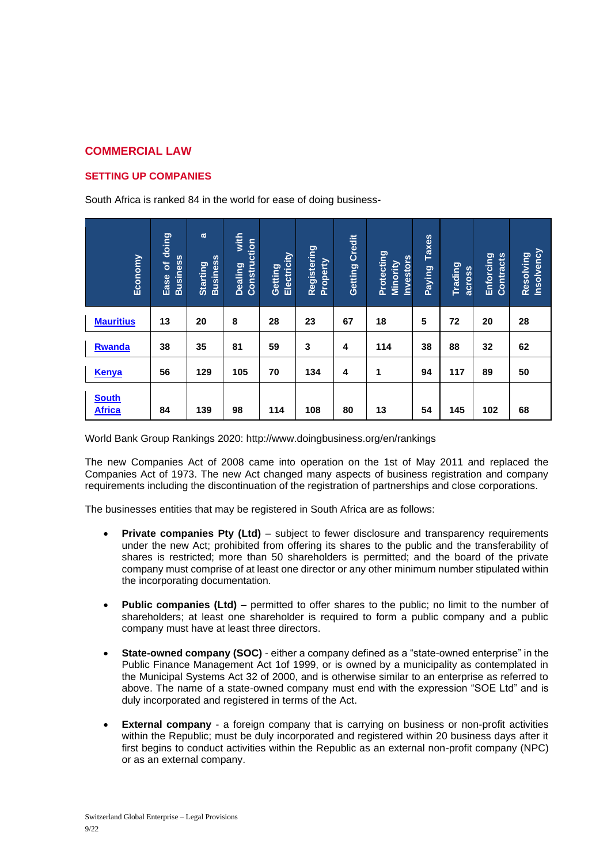# **COMMERCIAL LAW**

# **SETTING UP COMPANIES**

South Africa is ranked 84 in the world for ease of doing business-

| Economy                       | doing<br><b>Business</b><br>৳<br>Ease | $\boldsymbol{\sigma}$<br><b>Business</b><br><b>Starting</b> | with<br>Construction<br>Dealing | Electricity<br>Getting | Registering<br>Property | <b>Credit</b><br>Getting | Protecting<br><b>Investors</b><br>Minority | <b>Taxes</b><br><b>Paying</b> | Trading<br>across | Enforcing<br><b>Contracts</b> | Insolvency<br>Resolving |
|-------------------------------|---------------------------------------|-------------------------------------------------------------|---------------------------------|------------------------|-------------------------|--------------------------|--------------------------------------------|-------------------------------|-------------------|-------------------------------|-------------------------|
| <b>Mauritius</b>              | 13                                    | 20                                                          | 8                               | 28                     | 23                      | 67                       | 18                                         | 5                             | 72                | 20                            | 28                      |
| <b>Rwanda</b>                 | 38                                    | 35                                                          | 81                              | 59                     | 3                       | 4                        | 114                                        | 38                            | 88                | 32                            | 62                      |
| <b>Kenya</b>                  | 56                                    | 129                                                         | 105                             | 70                     | 134                     | 4                        | 1                                          | 94                            | 117               | 89                            | 50                      |
| <b>South</b><br><b>Africa</b> | 84                                    | 139                                                         | 98                              | 114                    | 108                     | 80                       | 13                                         | 54                            | 145               | 102                           | 68                      |

World Bank Group Rankings 2020: http://www.doingbusiness.org/en/rankings

The new Companies Act of 2008 came into operation on the 1st of May 2011 and replaced the Companies Act of 1973. The new Act changed many aspects of business registration and company requirements including the discontinuation of the registration of partnerships and close corporations.

The businesses entities that may be registered in South Africa are as follows:

- **Private companies Pty (Ltd)** subject to fewer disclosure and transparency requirements under the new Act; prohibited from offering its shares to the public and the transferability of shares is restricted; more than 50 shareholders is permitted; and the board of the private company must comprise of at least one director or any other minimum number stipulated within the incorporating documentation.
- **Public companies (Ltd)** permitted to offer shares to the public; no limit to the number of shareholders; at least one shareholder is required to form a public company and a public company must have at least three directors.
- **State-owned company (SOC)** either a company defined as a "state-owned enterprise" in the Public Finance Management Act 1of 1999, or is owned by a municipality as contemplated in the Municipal Systems Act 32 of 2000, and is otherwise similar to an enterprise as referred to above. The name of a state-owned company must end with the expression "SOE Ltd" and is duly incorporated and registered in terms of the Act.
- **External company** a foreign company that is carrying on business or non-profit activities within the Republic; must be duly incorporated and registered within 20 business days after it first begins to conduct activities within the Republic as an external non-profit company (NPC) or as an external company.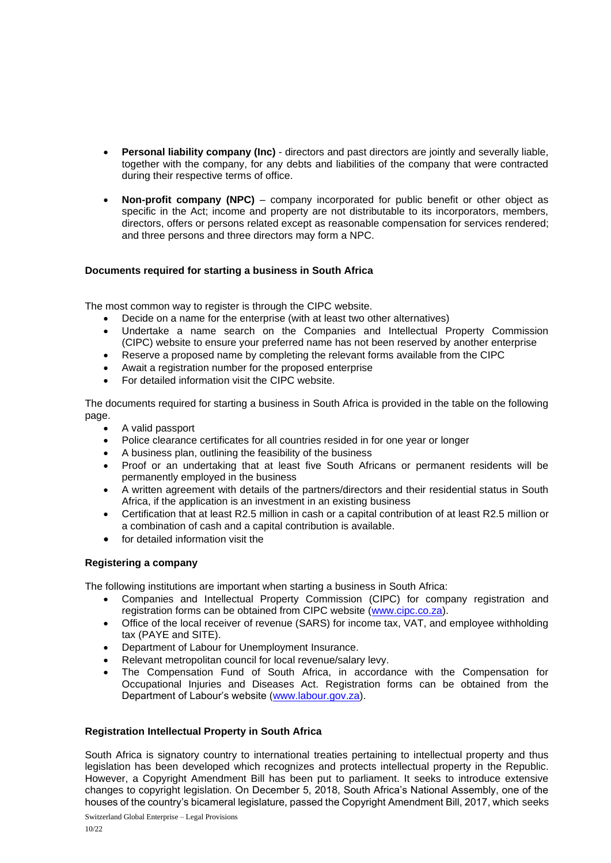- **Personal liability company (Inc)** directors and past directors are jointly and severally liable, together with the company, for any debts and liabilities of the company that were contracted during their respective terms of office.
- **Non-profit company (NPC)** company incorporated for public benefit or other object as specific in the Act; income and property are not distributable to its incorporators, members, directors, offers or persons related except as reasonable compensation for services rendered; and three persons and three directors may form a NPC.

# **Documents required for starting a business in South Africa**

The most common way to register is through the CIPC [website.](http://www.cipc.co.za/)

- Decide on a name for the enterprise (with at least two other alternatives)
- Undertake a name search on the Companies and Intellectual Property Commission (CIPC) [website](http://www.cipc.co.za/) to ensure your preferred name has not been reserved by another enterprise
- Reserve a proposed name by completing the relevant forms available from the CIPC
- Await a registration number for the proposed enterprise
- For detailed information visit the [CIPC website.](http://www.cipc.co.za/)

The documents required for starting a business in South Africa is provided in the table on the following page.

- A valid passport
- Police clearance certificates for all countries resided in for one year or longer
- A business plan, outlining the feasibility of the business
- Proof or an undertaking that at least five South Africans or permanent residents will be permanently employed in the business
- A written agreement with details of the partners/directors and their residential status in South Africa, if the application is an investment in an existing business
- Certification that at least R2.5 million in cash or a capital contribution of at least R2.5 million or a combination of cash and a capital contribution is available.
- for detailed information visit the

# **Registering a company**

The following institutions are important when starting a business in South Africa:

- Companies and Intellectual Property Commission (CIPC) for company registration and registration forms can be obtained from CIPC website [\(www.cipc.co.za\)](http://www.cipc.co.za/).
- Office of the local receiver of revenue (SARS) for income tax, VAT, and employee withholding tax (PAYE and SITE).
- Department of Labour for Unemployment Insurance.
- Relevant metropolitan council for local revenue/salary levy.
- The Compensation Fund of South Africa, in accordance with the Compensation for Occupational Injuries and Diseases Act. Registration forms can be obtained from the Department of Labour's website [\(www.labour.gov.za\)](http://www.labour.gov.za/).

#### **Registration Intellectual Property in South Africa**

South Africa is signatory country to international treaties pertaining to intellectual property and thus legislation has been developed which recognizes and protects intellectual property in the Republic. However, a Copyright Amendment Bill has been put to parliament. It seeks to introduce extensive changes to copyright legislation. On December 5, 2018, South Africa's National Assembly, one of the houses of the country's bicameral legislature, passed the Copyright Amendment Bill, 2017, which seeks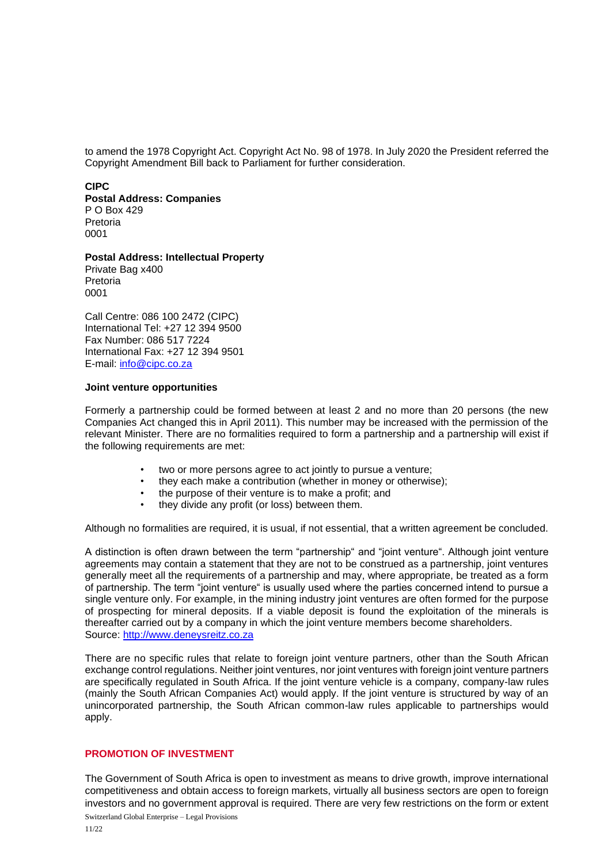to amend the 1978 Copyright Act. [Copyright Act No. 98 of 1978.](http://www.nlsa.ac.za/downloads/Copyright%20Act.pdf) In July 2020 the President referred the Copyright Amendment Bill back to Parliament for further consideration.

#### **CIPC**

**Postal Address: Companies** P O Box 429 Pretoria 0001

**Postal Address: Intellectual Property** Private Bag x400 Pretoria 0001

Call Centre: 086 100 2472 (CIPC) International Tel: +27 12 394 9500 Fax Number: 086 517 7224 International Fax: +27 12 394 9501 E-mail: [info@cipc.co.za](mailto:info@cipc.co.za)

## **Joint venture opportunities**

Formerly a partnership could be formed between at least 2 and no more than 20 persons (the new Companies Act changed this in April 2011). This number may be increased with the permission of the relevant Minister. There are no formalities required to form a partnership and a partnership will exist if the following requirements are met:

- two or more persons agree to act jointly to pursue a venture;
- they each make a contribution (whether in money or otherwise);
- the purpose of their venture is to make a profit; and
- they divide any profit (or loss) between them.

Although no formalities are required, it is usual, if not essential, that a written agreement be concluded.

A distinction is often drawn between the term "partnership" and "joint venture". Although joint venture agreements may contain a statement that they are not to be construed as a partnership, joint ventures generally meet all the requirements of a partnership and may, where appropriate, be treated as a form of partnership. The term "joint venture" is usually used where the parties concerned intend to pursue a single venture only. For example, in the mining industry joint ventures are often formed for the purpose of prospecting for mineral deposits. If a viable deposit is found the exploitation of the minerals is thereafter carried out by a company in which the joint venture members become shareholders. Source: [http://www.deneysreitz.co.za](http://www.deneysreitz.co.za/)

There are no specific rules that relate to foreign joint venture partners, other than the South African exchange control regulations. Neither joint ventures, nor joint ventures with foreign joint venture partners are specifically regulated in South Africa. If the joint venture vehicle is a company, company-law rules (mainly the South African Companies Act) would apply. If the joint venture is structured by way of an unincorporated partnership, the South African common-law rules applicable to partnerships would apply.

#### **PROMOTION OF INVESTMENT**

The Government of South Africa is open to investment as means to drive growth, improve international competitiveness and obtain access to foreign markets, virtually all business sectors are open to foreign investors and no government approval is required. There are very few restrictions on the form or extent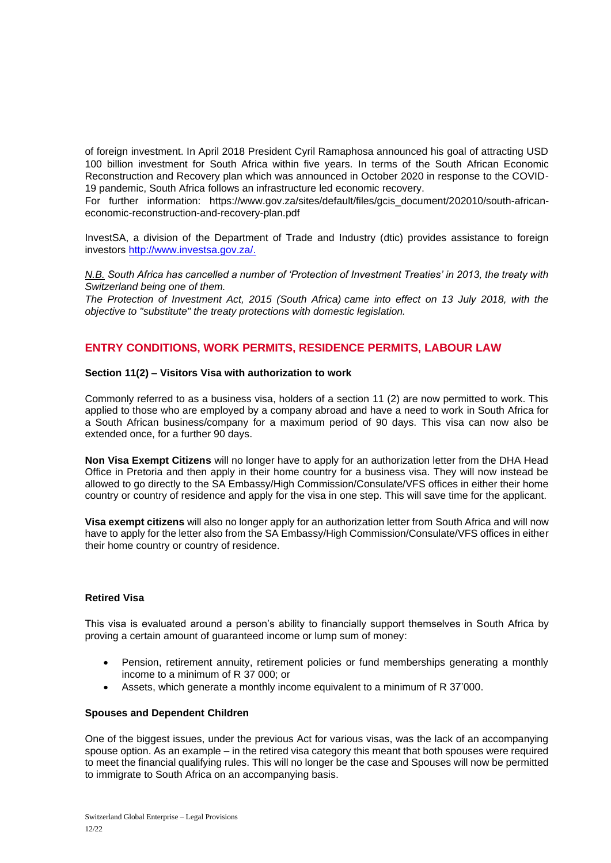of foreign investment. In April 2018 President Cyril Ramaphosa announced his goal of attracting USD 100 billion investment for South Africa within five years. In terms of the South African Economic Reconstruction and Recovery plan which was announced in October 2020 in response to the COVID-19 pandemic, South Africa follows an infrastructure led economic recovery.

For further information: https://www.gov.za/sites/default/files/gcis\_document/202010/south-africaneconomic-reconstruction-and-recovery-plan.pdf

InvestSA, a division of the Department of Trade and Industry (dtic) provides assistance to foreign investors http://www.investsa.gov.za/.

*N.B. South Africa has cancelled a number of 'Protection of Investment Treaties' in 2013, the treaty with Switzerland being one of them.* 

*[The Protection of Investment Act, 2015 \(South Africa\)](https://www.businessinsider.co.za/protection-of-investment-act-commencement-gazetted-foreign-mediation-bee-section-25-constitution-2018-7) came into effect on 13 July 2018, with the objective to "substitute" the treaty protections with domestic legislation.*

## **ENTRY CONDITIONS, WORK PERMITS, RESIDENCE PERMITS, LABOUR LAW**

#### **Section 11(2) – Visitors Visa with authorization to work**

Commonly referred to as a business visa, holders of a section 11 (2) are now permitted to work. This applied to those who are employed by a company abroad and have a need to work in South Africa for a South African business/company for a maximum period of 90 days. This visa can now also be extended once, for a further 90 days.

**Non Visa Exempt Citizens** will no longer have to apply for an authorization letter from the DHA Head Office in Pretoria and then apply in their home country for a business visa. They will now instead be allowed to go directly to the SA Embassy/High Commission/Consulate/VFS offices in either their home country or country of residence and apply for the visa in one step. This will save time for the applicant.

**Visa exempt citizens** will also no longer apply for an authorization letter from South Africa and will now have to apply for the letter also from the SA Embassy/High Commission/Consulate/VFS offices in either their home country or country of residence.

#### **Retired Visa**

This visa is evaluated around a person's ability to financially support themselves in South Africa by proving a certain amount of guaranteed income or lump sum of money:

- Pension, retirement annuity, retirement policies or fund memberships generating a monthly income to a minimum of R 37 000; or
- Assets, which generate a monthly income equivalent to a minimum of R 37'000.

#### **Spouses and Dependent Children**

One of the biggest issues, under the previous Act for various visas, was the lack of an accompanying spouse option. As an example – in the retired visa category this meant that both spouses were required to meet the financial qualifying rules. This will no longer be the case and Spouses will now be permitted to immigrate to South Africa on an accompanying basis.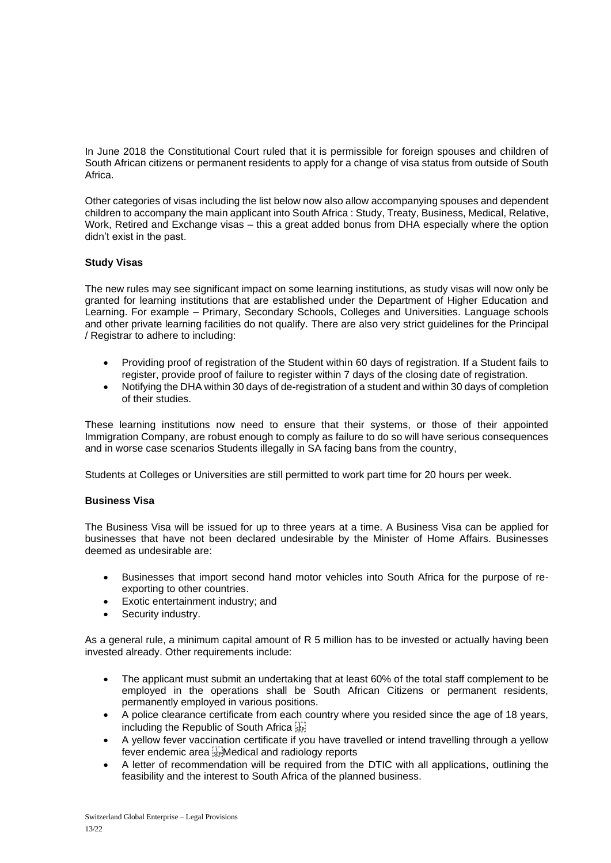In June 2018 the Constitutional Court ruled that it is permissible for foreign spouses and children of South African citizens or permanent residents to apply for a change of visa status from outside of South Africa.

Other categories of visas including the list below now also allow accompanying spouses and dependent children to accompany the main applicant into South Africa : Study, Treaty, Business, Medical, Relative, Work, Retired and Exchange visas – this a great added bonus from DHA especially where the option didn't exist in the past.

# **Study Visas**

The new rules may see significant impact on some learning institutions, as study visas will now only be granted for learning institutions that are established under the Department of Higher Education and Learning. For example – Primary, Secondary Schools, Colleges and Universities. Language schools and other private learning facilities do not qualify. There are also very strict guidelines for the Principal / Registrar to adhere to including:

- Providing proof of registration of the Student within 60 days of registration. If a Student fails to register, provide proof of failure to register within 7 days of the closing date of registration.
- Notifying the DHA within 30 days of de-registration of a student and within 30 days of completion of their studies.

These learning institutions now need to ensure that their systems, or those of their appointed Immigration Company, are robust enough to comply as failure to do so will have serious consequences and in worse case scenarios Students illegally in SA facing bans from the country,

Students at Colleges or Universities are still permitted to work part time for 20 hours per week.

#### **Business Visa**

The Business Visa will be issued for up to three years at a time. A Business Visa can be applied for businesses that have not been declared undesirable by the Minister of Home Affairs. Businesses deemed as undesirable are:

- Businesses that import second hand motor vehicles into South Africa for the purpose of reexporting to other countries.
- Exotic entertainment industry; and
- Security industry.

As a general rule, a minimum capital amount of R 5 million has to be invested or actually having been invested already. Other requirements include:

- The applicant must submit an undertaking that at least 60% of the total staff complement to be employed in the operations shall be South African Citizens or permanent residents, permanently employed in various positions.
- A police clearance certificate from each country where you resided since the age of 18 years, including the Republic of South Africa
- A vellow fever vaccination certificate if you have travelled or intend travelling through a vellow fever endemic area Medical and radiology reports
- A letter of recommendation will be required from the DTIC with all applications, outlining the feasibility and the interest to South Africa of the planned business.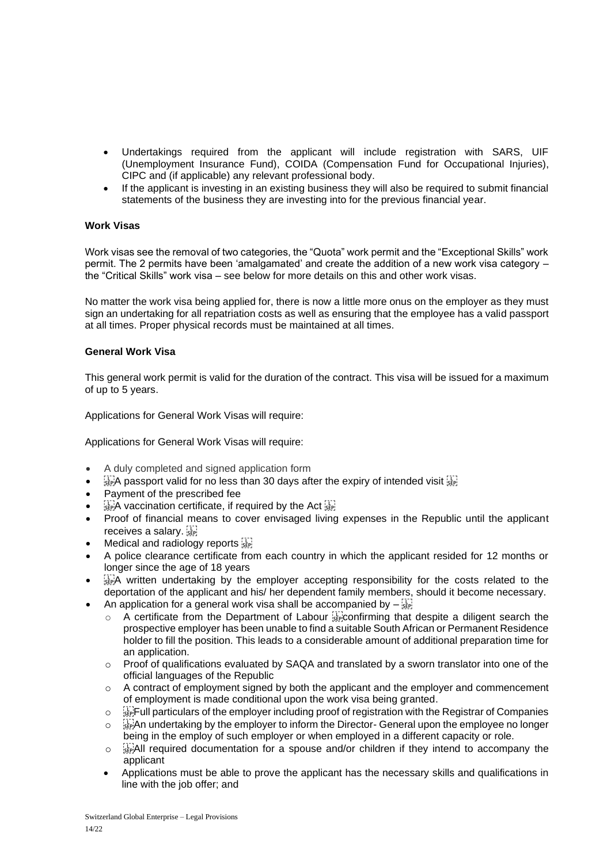- Undertakings required from the applicant will include registration with SARS, UIF (Unemployment Insurance Fund), COIDA (Compensation Fund for Occupational Injuries), CIPC and (if applicable) any relevant professional body.
- If the applicant is investing in an existing business they will also be required to submit financial statements of the business they are investing into for the previous financial year.

# **Work Visas**

Work visas see the removal of two categories, the "Quota" work permit and the "Exceptional Skills" work permit. The 2 permits have been 'amalgamated' and create the addition of a new work visa category – the "Critical Skills" work visa – see below for more details on this and other work visas.

No matter the work visa being applied for, there is now a little more onus on the employer as they must sign an undertaking for all repatriation costs as well as ensuring that the employee has a valid passport at all times. Proper physical records must be maintained at all times.

#### **General Work Visa**

This general work permit is valid for the duration of the contract. This visa will be issued for a maximum of up to 5 years.

Applications for General Work Visas will require:

Applications for General Work Visas will require:

- A duly completed and signed application form
- $\frac{1}{15}$ A passport valid for no less than 30 days after the expiry of intended visit  $\frac{1}{15}$
- Payment of the prescribed fee
- $\frac{1}{15}$ A vaccination certificate, if required by the Act  $\frac{1}{15}$
- Proof of financial means to cover envisaged living expenses in the Republic until the applicant receives a salary.
- Medical and radiology reports step
- A police clearance certificate from each country in which the applicant resided for 12 months or longer since the age of 18 years
- $\frac{1}{2}$ . A written undertaking by the employer accepting responsibility for the costs related to the deportation of the applicant and his/ her dependent family members, should it become necessary.
- An application for a general work visa shall be accompanied by  $-\frac{1}{15}$ 
	- A certificate from the Department of Labour  $\frac{1}{36}$  confirming that despite a diligent search the prospective employer has been unable to find a suitable South African or Permanent Residence holder to fill the position. This leads to a considerable amount of additional preparation time for an application.
	- $\circ$  Proof of qualifications evaluated by SAQA and translated by a sworn translator into one of the official languages of the Republic
	- $\circ$  A contract of employment signed by both the applicant and the employer and commencement of employment is made conditional upon the work visa being granted.
	- o steer will particulars of the employer including proof of registration with the Registrar of Companies  $\circ$   $\mathbb{R}^n$ An undertaking by the employer to inform the Director- General upon the employee no longer
	- being in the employ of such employer or when employed in a different capacity or role.
	- $\circ$   $\frac{1}{2}$   $\frac{1}{2}$  and a spouse and/or children if they intend to accompany the applicant
	- Applications must be able to prove the applicant has the necessary skills and qualifications in line with the job offer; and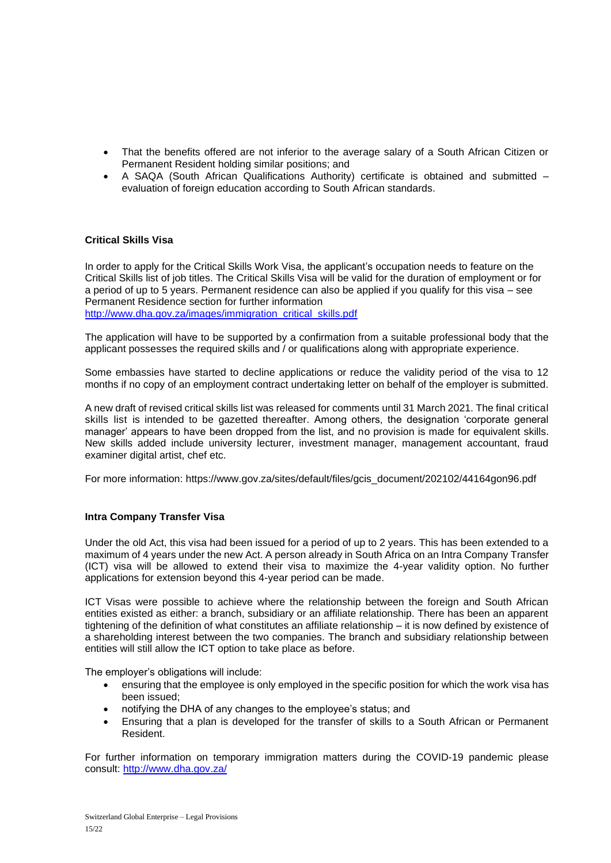- That the benefits offered are not inferior to the average salary of a South African Citizen or Permanent Resident holding similar positions; and
- A SAQA (South African Qualifications Authority) certificate is obtained and submitted evaluation of foreign education according to South African standards.

## **Critical Skills Visa**

In order to apply for the Critical Skills Work Visa, the applicant's occupation needs to feature on the Critical Skills list of job titles. The Critical Skills Visa will be valid for the duration of employment or for a period of up to 5 years. Permanent residence can also be applied if you qualify for this visa – see Permanent Residence section for further information [http://www.dha.gov.za/images/immigration\\_critical\\_skills.pdf](http://www.dha.gov.za/images/immigration_critical_skills.pdf)

The application will have to be supported by a confirmation from a suitable professional body that the applicant possesses the required skills and / or qualifications along with appropriate experience.

Some embassies have started to decline applications or reduce the validity period of the visa to 12 months if no copy of an employment contract undertaking letter on behalf of the employer is submitted.

A new draft of revised critical skills list was released for comments until 31 March 2021. The final critical skills list is intended to be gazetted thereafter. Among others, the designation 'corporate general manager' appears to have been dropped from the list, and no provision is made for equivalent skills. New skills added include university lecturer, investment manager, management accountant, fraud examiner digital artist, chef etc.

For more information: https://www.gov.za/sites/default/files/gcis\_document/202102/44164gon96.pdf

#### **Intra Company Transfer Visa**

Under the old Act, this visa had been issued for a period of up to 2 years. This has been extended to a maximum of 4 years under the new Act. A person already in South Africa on an Intra Company Transfer (ICT) visa will be allowed to extend their visa to maximize the 4-year validity option. No further applications for extension beyond this 4-year period can be made.

ICT Visas were possible to achieve where the relationship between the foreign and South African entities existed as either: a branch, subsidiary or an affiliate relationship. There has been an apparent tightening of the definition of what constitutes an affiliate relationship – it is now defined by existence of a shareholding interest between the two companies. The branch and subsidiary relationship between entities will still allow the ICT option to take place as before.

The employer's obligations will include:

- ensuring that the employee is only employed in the specific position for which the work visa has been issued;
- notifying the DHA of any changes to the employee's status; and
- Ensuring that a plan is developed for the transfer of skills to a South African or Permanent Resident.

For further information on temporary immigration matters during the COVID-19 pandemic please consult:<http://www.dha.gov.za/>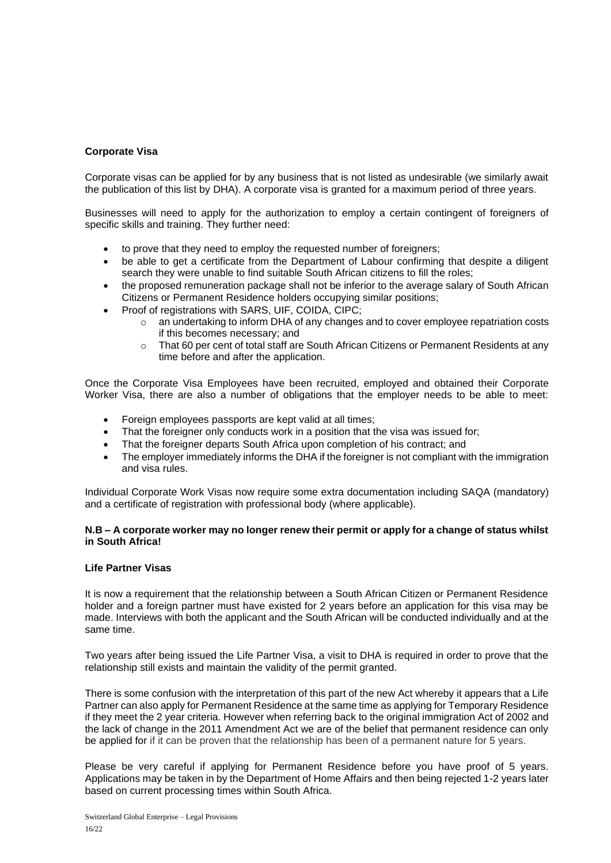## **Corporate Visa**

Corporate visas can be applied for by any business that is not listed as undesirable (we similarly await the publication of this list by DHA). A corporate visa is granted for a maximum period of three years.

Businesses will need to apply for the authorization to employ a certain contingent of foreigners of specific skills and training. They further need:

- to prove that they need to employ the requested number of foreigners;
- be able to get a certificate from the Department of Labour confirming that despite a diligent search they were unable to find suitable South African citizens to fill the roles;
- the proposed remuneration package shall not be inferior to the average salary of South African Citizens or Permanent Residence holders occupying similar positions;
- Proof of registrations with SARS, UIF, COIDA, CIPC;
	- o an undertaking to inform DHA of any changes and to cover employee repatriation costs if this becomes necessary; and
	- o That 60 per cent of total staff are South African Citizens or Permanent Residents at any time before and after the application.

Once the Corporate Visa Employees have been recruited, employed and obtained their Corporate Worker Visa, there are also a number of obligations that the employer needs to be able to meet:

- Foreign employees passports are kept valid at all times;
- That the foreigner only conducts work in a position that the visa was issued for;
- That the foreigner departs South Africa upon completion of his contract; and
- The employer immediately informs the DHA if the foreigner is not compliant with the immigration and visa rules.

Individual Corporate Work Visas now require some extra documentation including SAQA (mandatory) and a certificate of registration with professional body (where applicable).

#### **N.B – A corporate worker may no longer renew their permit or apply for a change of status whilst in South Africa!**

## **Life Partner Visas**

It is now a requirement that the relationship between a South African Citizen or Permanent Residence holder and a foreign partner must have existed for 2 years before an application for this visa may be made. Interviews with both the applicant and the South African will be conducted individually and at the same time.

Two years after being issued the Life Partner Visa, a visit to DHA is required in order to prove that the relationship still exists and maintain the validity of the permit granted.

There is some confusion with the interpretation of this part of the new Act whereby it appears that a Life Partner can also apply for Permanent Residence at the same time as applying for Temporary Residence if they meet the 2 year criteria. However when referring back to the original immigration Act of 2002 and the lack of change in the 2011 Amendment Act we are of the belief that permanent residence can only be applied for if it can be proven that the relationship has been of a permanent nature for 5 years.

Please be very careful if applying for Permanent Residence before you have proof of 5 years. Applications may be taken in by the Department of Home Affairs and then being rejected 1-2 years later based on current processing times within South Africa.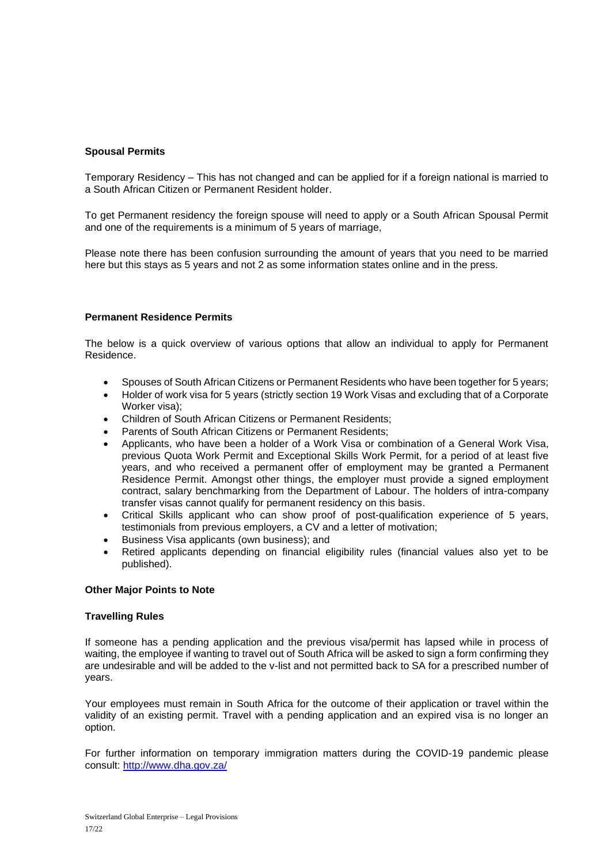## **Spousal Permits**

Temporary Residency – This has not changed and can be applied for if a foreign national is married to a South African Citizen or Permanent Resident holder.

To get Permanent residency the foreign spouse will need to apply or a South African Spousal Permit and one of the requirements is a minimum of 5 years of marriage,

Please note there has been confusion surrounding the amount of years that you need to be married here but this stays as 5 years and not 2 as some information states online and in the press.

#### **Permanent Residence Permits**

The below is a quick overview of various options that allow an individual to apply for Permanent Residence.

- Spouses of South African Citizens or Permanent Residents who have been together for 5 years;
- Holder of work visa for 5 years (strictly section 19 Work Visas and excluding that of a Corporate Worker visa);
- Children of South African Citizens or Permanent Residents;
- Parents of South African Citizens or Permanent Residents;
- Applicants, who have been a holder of a Work Visa or combination of a General Work Visa, previous Quota Work Permit and Exceptional Skills Work Permit, for a period of at least five years, and who received a permanent offer of employment may be granted a Permanent Residence Permit. Amongst other things, the employer must provide a signed employment contract, salary benchmarking from the Department of Labour. The holders of intra-company transfer visas cannot qualify for permanent residency on this basis.
- Critical Skills applicant who can show proof of post-qualification experience of 5 years, testimonials from previous employers, a CV and a letter of motivation;
- Business Visa applicants (own business); and
- Retired applicants depending on financial eligibility rules (financial values also yet to be published).

#### **Other Major Points to Note**

#### **Travelling Rules**

If someone has a pending application and the previous visa/permit has lapsed while in process of waiting, the employee if wanting to travel out of South Africa will be asked to sign a form confirming they are undesirable and will be added to the v-list and not permitted back to SA for a prescribed number of years.

Your employees must remain in South Africa for the outcome of their application or travel within the validity of an existing permit. Travel with a pending application and an expired visa is no longer an option.

For further information on temporary immigration matters during the COVID-19 pandemic please consult:<http://www.dha.gov.za/>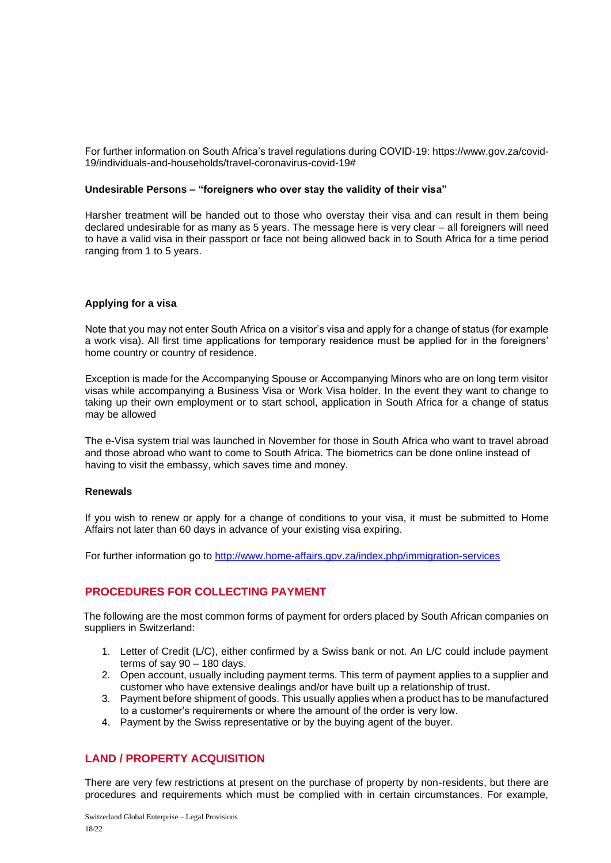For further information on South Africa's travel regulations during COVID-19: https://www.gov.za/covid-19/individuals-and-households/travel-coronavirus-covid-19#

#### **Undesirable Persons – "foreigners who over stay the validity of their visa"**

Harsher treatment will be handed out to those who overstay their visa and can result in them being declared undesirable for as many as 5 years. The message here is very clear – all foreigners will need to have a valid visa in their passport or face not being allowed back in to South Africa for a time period ranging from 1 to 5 years.

#### **Applying for a visa**

Note that you may not enter South Africa on a visitor's visa and apply for a change of status (for example a work visa). All first time applications for temporary residence must be applied for in the foreigners' home country or country of residence.

Exception is made for the Accompanying Spouse or Accompanying Minors who are on long term visitor visas while accompanying a Business Visa or Work Visa holder. In the event they want to change to taking up their own employment or to start school, application in South Africa for a change of status may be allowed

The e-Visa system trial was launched in November for those in South Africa who want to travel abroad and those abroad who want to come to South Africa. The biometrics can be done online instead of having to visit the embassy, which saves time and money.

#### **Renewals**

If you wish to renew or apply for a change of conditions to your visa, it must be submitted to Home Affairs not later than 60 days in advance of your existing visa expiring.

For further information go to<http://www.home-affairs.gov.za/index.php/immigration-services>

# **PROCEDURES FOR COLLECTING PAYMENT**

The following are the most common forms of payment for orders placed by South African companies on suppliers in Switzerland:

- 1. Letter of Credit (L/C), either confirmed by a Swiss bank or not. An L/C could include payment terms of say 90 – 180 days.
- 2. Open account, usually including payment terms. This term of payment applies to a supplier and customer who have extensive dealings and/or have built up a relationship of trust.
- 3. Payment before shipment of goods. This usually applies when a product has to be manufactured to a customer's requirements or where the amount of the order is very low.
- 4. Payment by the Swiss representative or by the buying agent of the buyer.

# **LAND / PROPERTY ACQUISITION**

There are very few restrictions at present on the purchase of property by non-residents, but there are procedures and requirements which must be complied with in certain circumstances. For example,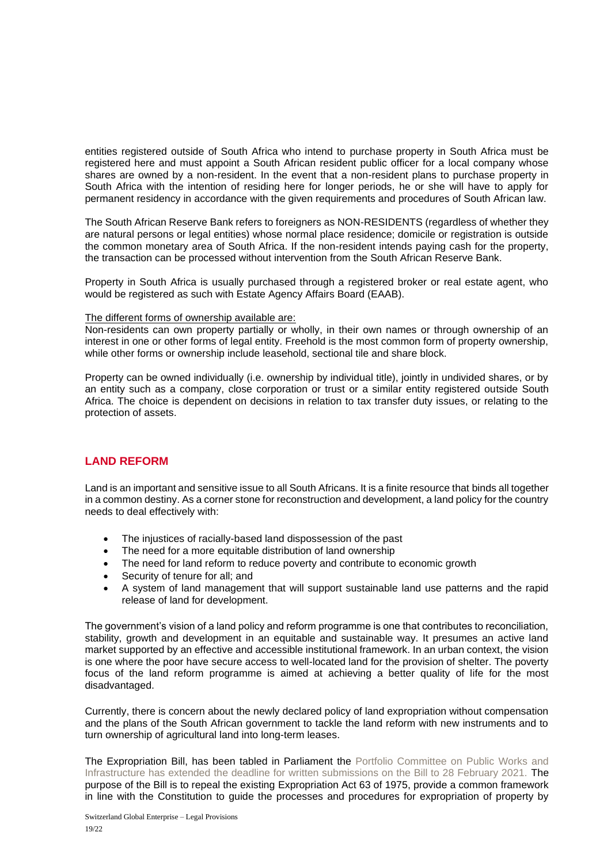entities registered outside of South Africa who intend to purchase property in South Africa must be registered here and must appoint a South African resident public officer for a local company whose shares are owned by a non-resident. In the event that a non-resident plans to purchase property in South Africa with the intention of residing here for longer periods, he or she will have to apply for permanent residency in accordance with the given requirements and procedures of South African law.

The South African Reserve Bank refers to foreigners as NON-RESIDENTS (regardless of whether they are natural persons or legal entities) whose normal place residence; domicile or registration is outside the common monetary area of South Africa. If the non-resident intends paying cash for the property, the transaction can be processed without intervention from the South African Reserve Bank.

Property in South Africa is usually purchased through a registered broker or real estate agent, who would be registered as such with Estate Agency Affairs Board (EAAB).

#### The different forms of ownership available are:

Non-residents can own property partially or wholly, in their own names or through ownership of an interest in one or other forms of legal entity. Freehold is the most common form of property ownership, while other forms or ownership include leasehold, sectional tile and share block.

Property can be owned individually (i.e. ownership by individual title), jointly in undivided shares, or by an entity such as a company, close corporation or trust or a similar entity registered outside South Africa. The choice is dependent on decisions in relation to tax transfer duty issues, or relating to the protection of assets.

# **LAND REFORM**

Land is an important and sensitive issue to all South Africans. It is a finite resource that binds all together in a common destiny. As a corner stone for reconstruction and development, a land policy for the country needs to deal effectively with:

- The injustices of racially-based land dispossession of the past
- The need for a more equitable distribution of land ownership
- The need for land reform to reduce poverty and contribute to economic growth
- Security of tenure for all; and
- A system of land management that will support sustainable land use patterns and the rapid release of land for development.

The government's vision of a land policy and reform programme is one that contributes to reconciliation, stability, growth and development in an equitable and sustainable way. It presumes an active land market supported by an effective and accessible institutional framework. In an urban context, the vision is one where the poor have secure access to well-located land for the provision of shelter. The poverty focus of the land reform programme is aimed at achieving a better quality of life for the most disadvantaged.

Currently, there is concern about the newly declared policy of land expropriation without compensation and the plans of the South African government to tackle the land reform with new instruments and to turn ownership of agricultural land into long-term leases.

The Expropriation Bill, has been tabled in Parliament the Portfolio Committee on Public Works and Infrastructure has extended the deadline for written submissions on the Bill to 28 February 2021. The purpose of the Bill is to repeal the existing Expropriation Act 63 of 1975, provide a common framework in line with the Constitution to guide the processes and procedures for expropriation of property by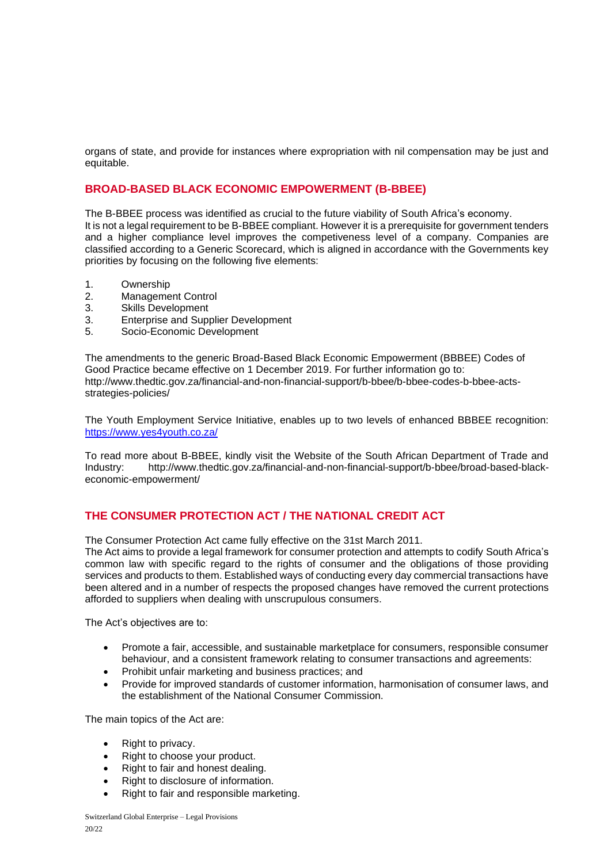organs of state, and provide for instances where expropriation with nil compensation may be just and equitable.

# **BROAD-BASED BLACK ECONOMIC EMPOWERMENT (B-BBEE)**

The B-BBEE process was identified as crucial to the future viability of South Africa's economy. It is not a legal requirement to be B-BBEE compliant. However it is a prerequisite for government tenders and a higher compliance level improves the competiveness level of a company. Companies are classified according to a Generic Scorecard, which is aligned in accordance with the Governments key priorities by focusing on the following five elements:

- 1. Ownership
- 2. Management Control
- 3. Skills Development
- 3. Enterprise and Supplier Development
- 5. Socio-Economic Development

The amendments to the generic Broad-Based Black Economic Empowerment (BBBEE) Codes of Good Practice became effective on 1 December 2019. For further information go to: http://www.thedtic.gov.za/financial-and-non-financial-support/b-bbee/b-bbee-codes-b-bbee-actsstrategies-policies/

The Youth Employment Service Initiative, enables up to two levels of enhanced BBBEE recognition: <https://www.yes4youth.co.za/>

To read more about B-BBEE, kindly visit the Website of the South African Department of Trade and Industry: http://www.thedtic.gov.za/financial-and-non-financial-support/b-bbee/broad-based-blackeconomic-empowerment/

# **THE CONSUMER PROTECTION ACT / THE NATIONAL CREDIT ACT**

The Consumer Protection Act came fully effective on the 31st March 2011.

The Act aims to provide a legal framework for consumer protection and attempts to codify South Africa's common law with specific regard to the rights of consumer and the obligations of those providing services and products to them. Established ways of conducting every day commercial transactions have been altered and in a number of respects the proposed changes have removed the current protections afforded to suppliers when dealing with unscrupulous consumers.

The Act's objectives are to:

- Promote a fair, accessible, and sustainable marketplace for consumers, responsible consumer behaviour, and a consistent framework relating to consumer transactions and agreements:
- Prohibit unfair marketing and business practices; and
- Provide for improved standards of customer information, harmonisation of consumer laws, and the establishment of the National Consumer Commission.

The main topics of the Act are:

- Right to privacy.
- Right to choose your product.
- Right to fair and honest dealing.
- Right to disclosure of information.
- Right to fair and responsible marketing.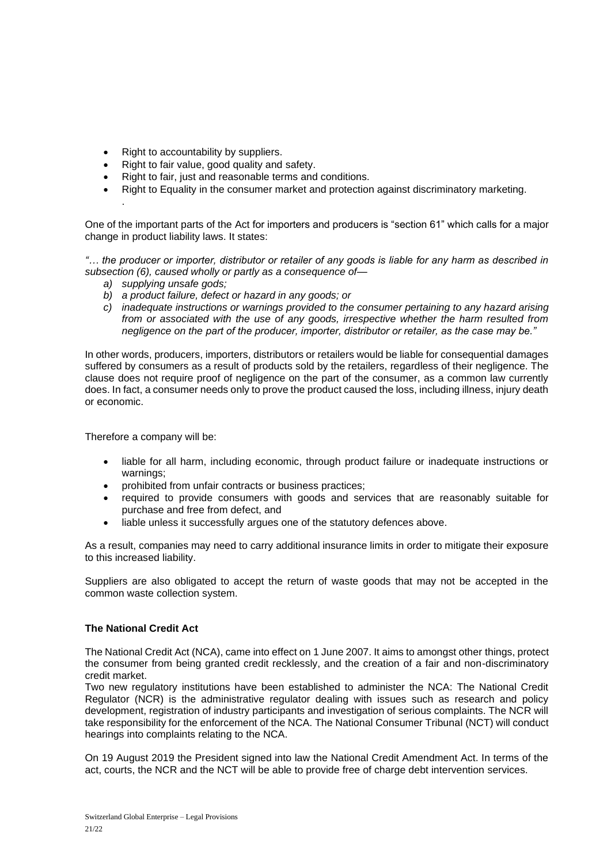- Right to accountability by suppliers.
- Right to fair value, good quality and safety.
- Right to fair, just and reasonable terms and conditions.
- Right to Equality in the consumer market and protection against discriminatory marketing.

One of the important parts of the Act for importers and producers is "section 61" which calls for a major change in product liability laws. It states:

*"… the producer or importer, distributor or retailer of any goods is liable for any harm as described in subsection (6), caused wholly or partly as a consequence of—*

*a) supplying unsafe gods;*

.

- *b) a product failure, defect or hazard in any goods; or*
- *c) inadequate instructions or warnings provided to the consumer pertaining to any hazard arising from or associated with the use of any goods, irrespective whether the harm resulted from negligence on the part of the producer, importer, distributor or retailer, as the case may be."*

In other words, producers, importers, distributors or retailers would be liable for consequential damages suffered by consumers as a result of products sold by the retailers, regardless of their negligence. The clause does not require proof of negligence on the part of the consumer, as a common law currently does. In fact, a consumer needs only to prove the product caused the loss, including illness, injury death or economic.

Therefore a company will be:

- liable for all harm, including economic, through product failure or inadequate instructions or warnings;
- prohibited from unfair contracts or business practices;
- required to provide consumers with goods and services that are reasonably suitable for purchase and free from defect, and
- liable unless it successfully argues one of the statutory defences above.

As a result, companies may need to carry additional insurance limits in order to mitigate their exposure to this increased liability.

Suppliers are also obligated to accept the return of waste goods that may not be accepted in the common waste collection system.

## **The National Credit Act**

The National Credit Act (NCA), came into effect on 1 June 2007. It aims to amongst other things, protect the consumer from being granted credit recklessly, and the creation of a fair and non-discriminatory credit market.

Two new regulatory institutions have been established to administer the NCA: The National Credit Regulator (NCR) is the administrative regulator dealing with issues such as research and policy development, registration of industry participants and investigation of serious complaints. The NCR will take responsibility for the enforcement of the NCA. The National Consumer Tribunal (NCT) will conduct hearings into complaints relating to the NCA.

On 19 August 2019 the President signed into law the National Credit Amendment Act. In terms of the act, courts, the NCR and the NCT will be able to provide free of charge debt intervention services.